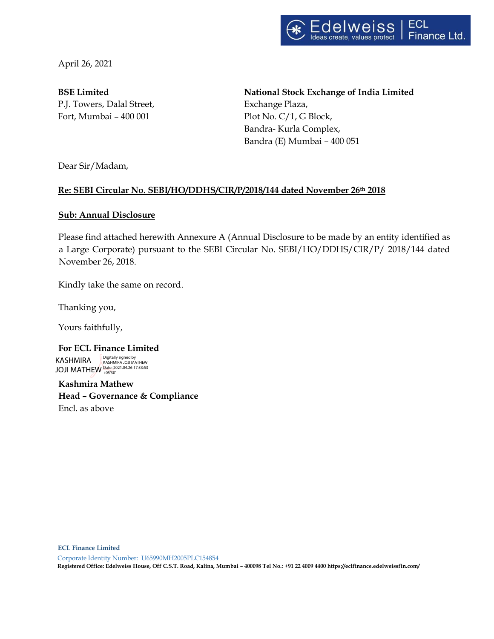

April 26, 2021

**BSE Limited**  P.J. Towers, Dalal Street, Fort, Mumbai – 400 001 Plot No. C/1, G Block,

**National Stock Exchange of India Limited** Exchange Plaza, Bandra- Kurla Complex, Bandra (E) Mumbai – 400 051

Dear Sir/Madam,

## **Re: SEBI Circular No. SEBI/HO/DDHS/CIR/P/2018/144 dated November 26th 2018**

## **Sub: Annual Disclosure**

Please find attached herewith Annexure A (Annual Disclosure to be made by an entity identified as a Large Corporate) pursuant to the SEBI Circular No. SEBI/HO/DDHS/CIR/P/ 2018/144 dated November 26, 2018.

Kindly take the same on record.

Thanking you,

Yours faithfully,

**For ECL Finance Limited** KASHMIRA JOJI MATHEW Date: 2021.04.26 17:33:53 +05'30'Digitally signed by KASHMIRA JOJI MATHEW

**Kashmira Mathew Head – Governance & Compliance** Encl. as above

**ECL Finance Limited** 

Corporate Identity Number: U65990MH2005PLC154854 **Registered Office: Edelweiss House, Off C.S.T. Road, Kalina, Mumbai – 400098 Tel No.: +91 22 4009 4400 https://eclfinance.edelweissfin.com/**